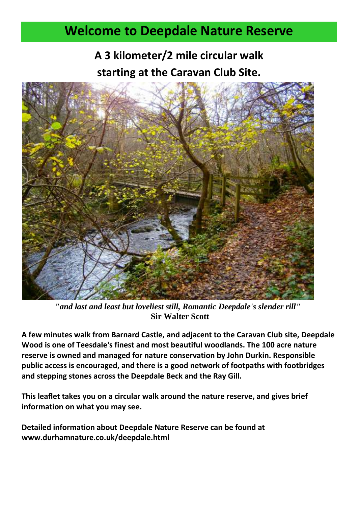## **Welcome to Deepdale Nature Reserve**

**A 3 kilometer/2 mile circular walk starting at the Caravan Club Site.**



*"and last and least but loveliest still, Romantic Deepdale's slender rill"* **Sir Walter Scott**

**A few minutes walk from Barnard Castle, and adjacent to the Caravan Club site, Deepdale Wood is one of Teesdale's finest and most beautiful woodlands. The 100 acre nature reserve is owned and managed for nature conservation by John Durkin. Responsible public access is encouraged, and there is a good network of footpaths with footbridges and stepping stones across the Deepdale Beck and the Ray Gill.**

**This leaflet takes you on a circular walk around the nature reserve, and gives brief information on what you may see.**

**Detailed information about Deepdale Nature Reserve can be found at www.durhamnature.co.uk/deepdale.html**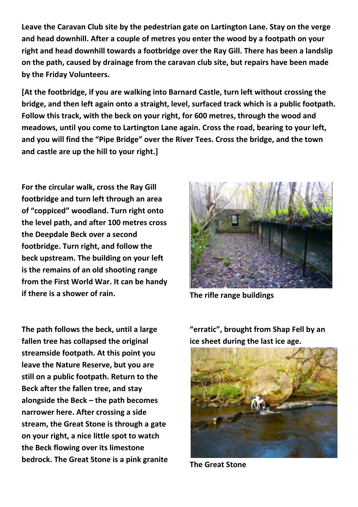**Leave the Caravan Club site by the pedestrian gate on Lartington Lane. Stay on the verge and head downhill. After a couple of metres you enter the wood by a footpath on your right and head downhill towards a footbridge over the Ray Gill. There has been a landslip on the path, caused by drainage from the caravan club site, but repairs have been made by the Friday Volunteers.**

**[At the footbridge, if you are walking into Barnard Castle, turn left without crossing the bridge, and then left again onto a straight, level, surfaced track which is a public footpath. Follow this track, with the beck on your right, for 600 metres, through the wood and meadows, until you come to Lartington Lane again. Cross the road, bearing to your left, and you will find the "Pipe Bridge" over the River Tees. Cross the bridge, and the town and castle are up the hill to your right.]**

**For the circular walk, cross the Ray Gill footbridge and turn left through an area of "coppiced" woodland. Turn right onto the level path, and after 100 metres cross the Deepdale Beck over a second footbridge. Turn right, and follow the beck upstream. The building on your left is the remains of an old shooting range from the First World War. It can be handy if there is a shower of rain. The rifle range buildings**

**The path follows the beck, until a large fallen tree has collapsed the original streamside footpath. At this point you leave the Nature Reserve, but you are still on a public footpath. Return to the Beck after the fallen tree, and stay alongside the Beck – the path becomes narrower here. After crossing a side stream, the Great Stone is through a gate on your right, a nice little spot to watch the Beck flowing over its limestone bedrock. The Great Stone is a pink granite** 



**"erratic", brought from Shap Fell by an ice sheet during the last ice age.**



**The Great Stone**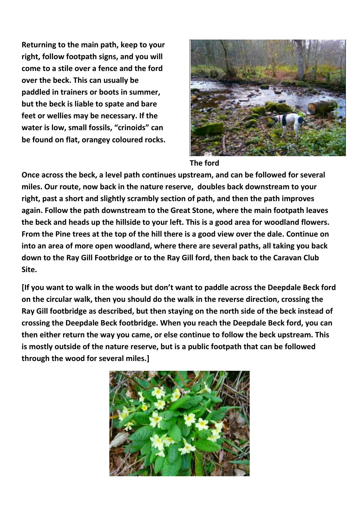**Returning to the main path, keep to your right, follow footpath signs, and you will come to a stile over a fence and the ford over the beck. This can usually be paddled in trainers or boots in summer, but the beck is liable to spate and bare feet or wellies may be necessary. If the water is low, small fossils, "crinoids" can be found on flat, orangey coloured rocks.** 



## **The ford**

**Once across the beck, a level path continues upstream, and can be followed for several miles. Our route, now back in the nature reserve, doubles back downstream to your right, past a short and slightly scrambly section of path, and then the path improves again. Follow the path downstream to the Great Stone, where the main footpath leaves the beck and heads up the hillside to your left. This is a good area for woodland flowers. From the Pine trees at the top of the hill there is a good view over the dale. Continue on into an area of more open woodland, where there are several paths, all taking you back down to the Ray Gill Footbridge or to the Ray Gill ford, then back to the Caravan Club Site.** 

**[If you want to walk in the woods but don't want to paddle across the Deepdale Beck ford on the circular walk, then you should do the walk in the reverse direction, crossing the Ray Gill footbridge as described, but then staying on the north side of the beck instead of crossing the Deepdale Beck footbridge. When you reach the Deepdale Beck ford, you can then either return the way you came, or else continue to follow the beck upstream. This is mostly outside of the nature reserve, but is a public footpath that can be followed through the wood for several miles.]**